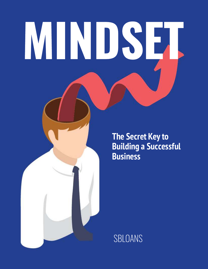# MINDSET

**The Secret Key to Building a Successful Business**

SBLOANS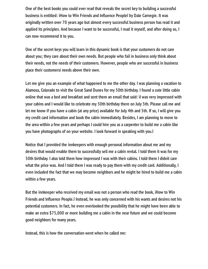**One of the best books you could ever read that reveals the secret key to building a successful business is entitled: iHow to Win Friends and Influence Peopleî by Dale Carnegie. It was originally written over 70 years ago but almost every successful business person has read it and applied its principles. And because I want to be successful, I read it myself, and after doing so, I can now recommend it to you.**

**One of the secret keys you will learn in this dynamic book is that your customers do not care about you; they care about their own needs. But people who fail in business only think about their needs, not the needs of their customers. However, people who are successful in business place their customersí needs above their own.**

**Let me give you an example of what happened to me the other day. I was planning a vacation to Alamosa, Colorado to visit the Great Sand Dunes for my 50th birthday. I found a cute little cabin online that was a bed and breakfast and sent them an email that said: ìI was very impressed with your cabins and I would like to celebrate my 50th birthday there on July 5th. Please call me and let me know if you have a cabin (at any price) available for July 4th and 5th. If so, I will give you my credit card information and book the cabin immediately. Besides, I am planning to move to the area within a few years and perhaps I could hire you as a carpenter to build me a cabin like you have photographs of on your website. I look forward in speaking with you.î**

**Notice that I provided the innkeepers with enough personal information about me and my desires that would enable them to successfully sell me a cabin rental. I told them it was for my 50th birthday. I also told them how impressed I was with their cabins. I told them I didnít care what the price was. And I told them I was ready to pay them with my credit card. Additionally, I even included the fact that we may become neighbors and he might be hired to build me a cabin within a few years.**

**But the innkeeper who received my email was not a person who read the book, ìHow to Win Friends and Influence People.** i Instead, he was only concerned with his wants and desires not his **potential customers. In fact, he even overlooked the possibility that he might have been able to make an extra \$75,000 or more building me a cabin in the near future and we could become good neighbors for many years.**

**Instead, this is how the conversation went when he called me:**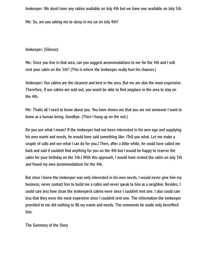**Innkeeper: We donít have any cabins available on July 4th but we have one available on July 5th.**

**Me: So, are you asking me to sleep in my car on July 4th?**

**Innkeeper: (Silence)**

**Me: Since you live in that area, can you suggest accommodations to me for the 4th and I will rent your cabin on the 5th? (This is where the Innkeeper really hurt his chances.)**

**Innkeeper: Our cabins are the cleanest and best in the area. But we are also the most expensive.** Therefore, if our cabins are sold out, you wonit be able to find anyplace in the area to stay on **the 4th.**

**Me: Thatís all I need to know about you. You have shown me that you are not someone I want to know as a human being. Goodbye. (Then I hung up on the nut.)**

**Do you see what I mean? If the innkeeper had not been interested in his own ego and supplying his own wants and needs, he would have said something like: ìTell you what. Let me make a couple of calls and see what I can do for you.î Then, after a little while, he could have called me** back and said il couldnit find anything for you on the 4th but I would be happy to reserve the **cabin for your birthday on the 5th.î With this approach, I would have rented the cabin on July 5th and found my own accommodations for the 4th.**

**But since I knew the innkeeper was only interested in his own needs, I would never give him my business, never contact him to build me a cabin and never speak to him as a neighbor. Besides, I could care less how clean the innkeeperís cabins were since I couldnít rent one. I also could care less that they were the most expensive since I couldnít rent one. The information the innkeeper** provided to me did nothing to fill my wants and needs. The comments he made only benefited **him.**

**The Summary of the Story**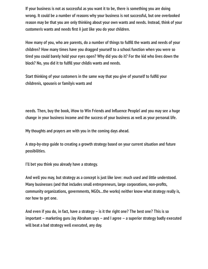**If your business is not as successful as you want it to be, there is something you are doing wrong. It could be a number of reasons why your business is not successful, but one overlooked reason may be that you are only thinking about your own wants and needs. Instead, think of your** customerís wants and needs first ñ just like you do your children.

How many of you, who are parents, do a number of things to fulfill the wants and needs of your **children? How many times have you dragged yourself to a school function when you were so tired you could barely hold your eyes open? Why did you do it? For the kid who lives down the** block? No, you did it to fulfill your childis wants and needs.

**Start thinking of your customers in the same way that you give of yourself to fulll your childrenís, spouseís or familyís wants and**

needs. Then, buy the book, iHow to Win Friends and Influence Peopleî and you may see a huge **change in your business income and the success of your business as well as your personal life.**

**My thoughts and prayers are with you in the coming days ahead.**

**A step-by-step guide to creating a growth strategy based on your current situation and future possibilities.**

**I'll bet you think you already have a strategy.**

**And well you may, but strategy as a concept is just like love: much used and little understood. Many businesses (and that includes small entrepreneurs, large corporations, non-prots, community organizations, governments, NGOs...the works) neither know what strategy really is, nor how to get one.**

**And even if you do, in fact, have a strategy -- is it the right one? The best one? This is so** important -- marketing guru Jay Abraham says -- and I agree -- a superior strategy badly executed **will beat a bad strategy well executed, any day.**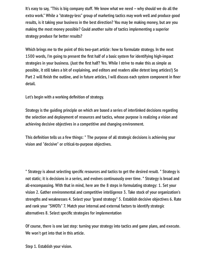It's easy to say, "This is big company stuff. We know what we need -- why should we do all the **extra work." While a "strategy-less" group of marketing tactics may work well and produce good results, is it taking your business in the best direction? You may be making money, but are you making the most money possible? Could another suite of tactics implementing a superior strategy produce far better results?**

**Which brings me to the point of this two-part article: how to formulate strategy. In the next** 1500 words, I'm going to present the first half of a basic system for identifying high-impact strategies in your business. (Just the first half? Yes. While I strive to make this as simple as **possible, it still takes a bit of explaining, and editors and readers alike detest long articles!) So** Part 2 will finish the outline, and in future articles, I will discuss each system component in finer **detail.**

Let's begin with a working definition of strategy.

**Strategy is the guiding principle on which are based a series of interlinked decisions regarding the selection and deployment of resources and tactics, whose purpose is realizing a vision and achieving decisive objectives in a competitive and changing environment.**

This definition tells us a few things: \* The purpose of all strategic decisions is achieving your **vision and "decisive" or critical-to-purpose objectives.**

\* Strategy is about selecting specific resources and tactics to get the desired result. \* Strategy is **not static; it is decisions in a series, and evolves continuously over time. \* Strategy is broad and all-encompassing. With that in mind, here are the 8 steps in formulating strategy: 1. Set your vision 2. Gather environmental and competitive intelligence 3. Take stock of your organization's strengths and weaknesses 4. Select your "grand strategy" 5. Establish decisive objectives 6. Rate and rank your "SWOTs" 7. Match your internal and external factors to identify strategic alternatives 8. Select specific strategies for implementation** 

**Of course, there is one last step: turning your strategy into tactics and game plans, and execute. We won't get into that in this article.**

**Step 1. Establish your vision.**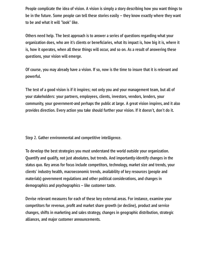**People complicate the idea of vision. A vision is simply a story describing how you want things to** be in the future. Some people can tell these stories easily -- they know exactly where they want **to be and what it will "look" like.**

**Others need help. The best approach is to answer a series of questions regarding what your organization does, who are it's clients or beneciaries, what its impact is, how big it is, where it is, how it operates, when all these things will occur, and so on. As a result of answering these questions, your vision will emerge.**

**Of course, you may already have a vision. If so, now is the time to insure that it is relevant and powerful.**

**The test of a good vision is if it inspires; not only you and your management team, but all of your stakeholders: your partners, employees, clients, investors, vendors, lenders, your community, your government-and perhaps the public at large. A great vision inspires, and it also provides direction. Every action you take should further your vision. If it doesn't, don't do it.**

**Step 2. Gather environmental and competitive intelligence.**

**To develop the best strategies you must understand the world outside your organization. Quantify and qualify, not just absolutes, but trends. And importantly-identify changes in the status quo. Key areas for focus include competitors, technology, market size and trends, your clients' industry health, macroeconomic trends, availability of key resources (people and materials) government regulations and other political considerations, and changes in demographics and psychographics -- like customer taste.**

**Devise relevant measures for each of these key external areas. For instance, examine your** competitors for revenue, profit and market share growth (or decline), product and service **changes, shifts in marketing and sales strategy, changes in geographic distribution, strategic alliances, and major customer announcements.**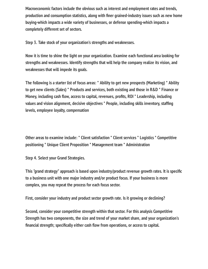**Macroeconomic factors include the obvious such as interest and employment rates and trends,** production and consumption statistics, along with finer grained-industry issues such as new home **buying-which impacts a wide variety of businesses, or defense spending-which impacts a completely different set of sectors.**

**Step 3. Take stock of your organization's strengths and weaknesses.**

**Now it is time to shine the light on your organization. Examine each functional area looking for strengths and weaknesses. Identify strengths that will help the company realize its vision, and weaknesses that will impede its goals.**

**The following is a starter list of focus areas: \* Ability to get new prospects (Marketing) \* Ability to get new clients (Sales) \* Products and services, both existing and those in R&D \* Finance or** Money, including cash flow, access to capital, revenues, profits, ROI \* Leadership, including **values and vision alignment, decisive objectives \* People, including skills inventory, stafng levels, employee loyalty, compensation**

**Other areas to examine include: \* Client satisfaction \* Client services \* Logistics \* Competitive positioning \* Unique Client Proposition \* Management team \* Administration**

**Step 4. Select your Grand Strategies.**

This "grand strategy" approach is based upon industry/product revenue growth rates. It is specific **to a business unit with one major industry and/or product focus. If your business is more complex, you may repeat the process for each focus sector.**

**First, consider your industry and product sector growth rate. Is it growing or declining?**

**Second, consider your competitive strength within that sector. For this analysis Competitive Strength has two components, the size and trend of your market share, and your organization's** financial strength; specifically either cash flow from operations, or access to capital.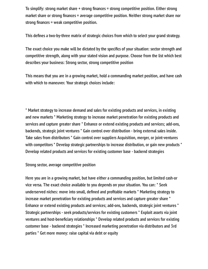To simplify: strong market share + strong finances = strong competitive position. Either strong market share or strong finances = average competitive position. Neither strong market share nor **strong finances = weak competitive position.** 

This defines a two-by-three matrix of strategic choices from which to select your grand strategy.

The exact choice you make will be dictated by the specifics of your situation: sector strength and **competitive strength, along with your stated vision and purpose. Choose from the list which best describes your business: Strong sector, strong competitive position**

**This means that you are in a growing market, hold a commanding market position, and have cash with which to maneuver. Your strategic choices include:**

**\* Market strategy to increase demand and sales for existing products and services, in existing and new markets \* Marketing strategy to increase market penetration for existing products and services and capture greater share \* Enhance or extend existing products and services; add-ons, backends, strategic joint ventures \* Gain control over distribution - bring external sales inside. Take sales from distributors \* Gain control over suppliers Acquisition, merger, or joint-ventures with competitors \* Develop strategic partnerships to increase distribution, or gain new products \* Develop related products and services for existing customer base - backend strategies**

**Strong sector, average competitive position**

**Here you are in a growing market, but have either a commanding position, but limited cash-or vice versa. The exact choice available to you depends on your situation. You can: \* Seek** underserved niches: move into small, defined and profitable markets \* Marketing strategy to **increase market penetration for existing products and services and capture greater share \* Enhance or extend existing products and services; add-ons, backends, strategic joint ventures \* Strategic partnerships - seek products/services for existing customers \* Exploit assets via joint** ventures and host-beneficiary relationships \* Develop related products and services for existing **customer base - backend strategies \* Increased marketing penetration via distributors and 3rd parties \* Get more money: raise capital via debt or equity**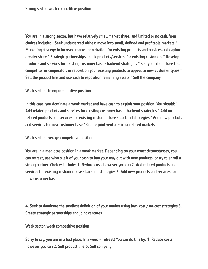**You are in a strong sector, but have relatively small market share, and limited or no cash. Your** choices include: \* Seek underserved niches: move into small, defined and profitable markets \* **Marketing strategy to increase market penetration for existing products and services and capture greater share \* Strategic partnerships - seek products/services for existing customers \* Develop products and services for existing customer base - backend strategies \* Sell your client base to a competitor or cooperator; or reposition your existing products to appeal to new customer types \* Sell the product line and use cash to reposition remaining assets \* Sell the company**

**Weak sector, strong competitive position**

**In this case, you dominate a weak market and have cash to exploit your position. You should: \* Add related products and services for existing customer base - backend strategies \* Add unrelated products and services for existing customer base - backend strategies \* Add new products and services for new customer base \* Create joint ventures in unrelated markets**

**Weak sector, average competitive position**

**You are in a mediocre position in a weak market. Depending on your exact circumstances, you can retreat, use what's left of your cash to buy your way out with new products, or try to enroll a strong partner. Choices include: 1. Reduce costs however you can 2. Add related products and services for existing customer base - backend strategies 3. Add new products and services for new customer base**

**4. Seek to dominate the smallest definition of your market using low- cost / no-cost strategies 5. Create strategic partnerships and joint ventures**

**Weak sector, weak competitive position**

**Sorry to say, you are in a bad place. In a word -- retreat! You can do this by: 1. Reduce costs however you can 2. Sell product line 3. Sell company**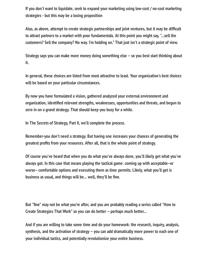**If you don't want to liquidate, seek to expand your marketing using low-cost / no-cost marketing strategies - but this may be a losing proposition**

**Also, as above, attempt to create strategic partnerships and joint ventures, but it may be difcult to attract partners to a market with poor fundamentals. At this point you might say, "...sell the customers? Sell the company? No way. I'm holding on." That just isn't a strategic point of view.**

Strategy says you can make more money doing something else -- so you best start thinking about **it.**

**In general, these choices are listed from most attractive to least. Your organization's best choices will be based on your particular circumstances.**

**By now you have formulated a vision, gathered analyzed your external environment and organization, identied relevant strengths, weaknesses, opportunities and threats, and begun to zero in on a grand strategy. That should keep you busy for a while.**

**In The Secrets of Strategy, Part II, we'll complete the process.**

**Remember-you don't need a strategy. But having one increases your chances of generating the** greatest profits from your resources. After all, that is the whole point of strategy.

**Of course you've heard that when you do what you've always done, you'll likely get what you've always got. In this case that means playing the tactical game: coming up with acceptable--or worse-- comfortable options and executing them as time permits. Likely, what you'll get is** business as usual, and things will be... well, they'll be fine.

But "fine" may not be what you're after, and you are probably reading a series called "How to **Create Strategies That Work" so you can do better -- perhaps much better...**

**And if you are willing to take some time and do your homework: the research, inquiry, analysis, synthesis, and the activation of strategy -- you can add dramatically more power to each one of your individual tactics, and potentially revolutionize your entire business.**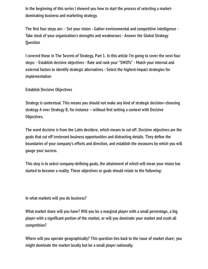**In the beginning of this series I showed you how to start the process of selecting a marketdominating business and marketing strategy.**

The first four steps are:  $-$  Set your vision  $-$  Gather environmental and competitive intelligence  $-$ **Take stock of your organization's strengths and weaknesses - Answer the Global Strategy Question**

**I covered those in The Secrets of Strategy, Part 1. In this article I'm going to cover the next four steps: - Establish decisive objectives - Rate and rank your "SWOTs" - Match your internal and external factors to identify strategic alternatives - Select the highest-impact strategies for implementation**

**Establish Decisive Objectives**

**Strategy is contextual. This means you should not make any kind of strategic decision--choosing** strategy A over Strategy B, for instance -- without first setting a context with Decisive **Objectives.**

**The word decisive is from the Latin decidere, which means to cut off. Decisive objectives are the** goals that cut off irrelevant business opportunities and distracting details. They define the **boundaries of your company's efforts and direction, and establish the measures by which you will gauge your success.**

This step is to select company-defining goals, the attainment of which will mean your vision has **started to become a reality. These objectives or goals should relate to the following:**

**In what markets will you do business?**

**What market share will you have? Will you be a marginal player with a small percentage, a big player with a signicant portion of the market, or will you dominate your market and crush all competition?**

**Where will you operate geographically? This question ties back to the issue of market share; you might dominate the market locally but be a small player nationally.**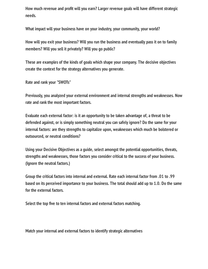How much revenue and profit will you earn? Larger revenue goals will have different strategic **needs.**

**What impact will your business have on your industry, your community, your world?**

**How will you exit your business? Will you run the business and eventually pass it on to family members? Will you sell it privately? Will you go public?**

**These are examples of the kinds of goals which shape your company. The decisive objectives create the context for the strategy alternatives you generate.**

**Rate and rank your "SWOTs"**

**Previously, you analyzed your external environment and internal strengths and weaknesses. Now rate and rank the most important factors.**

**Evaluate each external factor: is it an opportunity to be taken advantage of, a threat to be defended against, or is simply something neutral you can safely ignore? Do the same for your internal factors: are they strengths to capitalize upon, weaknesses which much be bolstered or outsourced, or neutral conditions?**

**Using your Decisive Objectives as a guide, select amongst the potential opportunities, threats, strengths and weaknesses, those factors you consider critical to the success of your business. (Ignore the neutral factors.)**

**Group the critical factors into internal and external. Rate each internal factor from .01 to .99 based on its perceived importance to your business. The total should add up to 1.0. Do the same for the external factors.**

Select the top five to ten internal factors and external factors matching.

**Match your internal and external factors to identify strategic alternatives**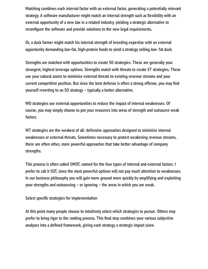**Matching combines each internal factor with an external factor, generating a potentially relevant** strategy. A software manufacturer might match an internal strength such as flexibility with an **external opportunity of a new law in a related industry, yielding a strategic alternative to** reconfigure the software and provide solutions to the new legal requirements.

**Or, a duck farmer might match his internal strength of breeding expertise with an external opportunity demanding low-fat, high-protein foods to yield a strategy selling low- fat duck.**

**Strengths are matched with opportunities to create SO strategies. These are generally your strongest, highest leverage options. Strengths match with threats to create ST strategies. These use your natural assets to minimize external threats to existing revenue streams and your** current competitive position. But since the best defense is often a strong offense, you may find **yourself reverting to an SO strategy -- typically a better alternative.**

**WO strategies use external opportunities to reduce the impact of internal weaknesses. Of course, you may simply choose to put your resources into areas of strength and outsource weak factors.**

**WT strategies are the weakest of all: defensive approaches designed to minimize internal weaknesses or external threats. Sometimes necessary to protect weakening revenue streams, there are often other, more powerful approaches that take better advantage of company strengths.**

**This process is often called SWOT, named for the four types of internal and external factors. I prefer to call it SOT, since the most powerful options will not pay much attention to weaknesses. In our business philosophy you will gain more ground more quickly by amplifying and exploiting your strengths and outsourcing -- or ignoring -- the areas in which you are weak.**

**Select specific strategies for implementation** 

**At this point many people choose to intuitively select which strategies to pursue. Others may** prefer to bring rigor to the ranking process. This final step combines your various subjective analyses into a defined framework, giving each strategy a strategic impact score.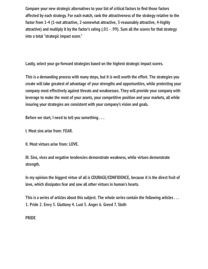**Compare your new strategic alternatives to your list of critical factors to find those factors affected by each strategy. For each match, rank the attractiveness of the strategy relative to the factor from 1-4 (1-not attractive, 2-somewhat attractive, 3-reasonably attractive, 4-highly attractive) and multiply it by the factor's rating (.01 - .99). Sum all the scores for that strategy into a total "strategic impact score."**

**Lastly, select your go-forward strategies based on the highest strategic impact scores.**

**This is a demanding process with many steps, but it is well worth the effort. The strategies you create will take greatest of advantage of your strengths and opportunities, while protecting your company most effectively against threats and weaknesses. They will provide your company with leverage to make the most of your assets, your competitive position and your markets, all while insuring your strategies are consistent with your company's vision and goals.**

**Before we start, I need to tell you something . . .**

**I. Most sins arise from: FEAR.**

**II. Most virtues arise from: LOVE.**

**III. Sins, vices and negative tendencies demonstrate weakness, while virtues demonstrate strength.**

**In my opinion the biggest virtue of all is COURAGE/CONFIDENCE, because it is the direct fruit of love, which dissipates fear and sow all other virtues in human's hearts.**

**This is a series of articles about this subject. The whole series contain the following articles . . . 1. Pride 2. Envy 3. Gluttony 4. Lust 5. Anger 6. Greed 7. Sloth**

**PRIDE**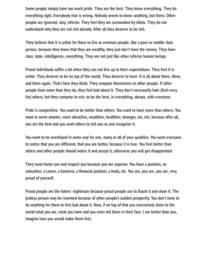**Some people simply have too much pride. They are the best. They know everything. They do everything right. Everybody else is wrong. Nobody seems to know anything, but them. Other people are ignorant, lazy, inferior. They feel they are surrounded by idiots. They do not understand why they are not rich already. After all they deserve to be rich.**

**They believe that it is unfair for them to live as common people, like a poor or middle class person, because they know that they are wealthy, they just don't have the money. They have class, style, intelligence, everything. They are not just like other inferior human beings.**

**Proud individuals suffer a lot when they can not live up to their expectations. They feel it is unfair. They deserve to be on top of the world. They deserve to have. It is all about them, them, and them again. That's how they think. They compare themselves to other people. If other people have more than they do, they feel bad about it. They don't necessarily hate (feel envy for) others, but they compete to win, to be the best, in everything, always, with everyone.**

**Pride is competitive. You want to be better than others. You want to have more than others. You want to seem smarter, more attractive, wealthier, healthier, stronger, etc, etc; because after all, you are the best and you want others to tell you so and recognize it.**

**You want to be worshiped in some way for one, many or all of your qualities. You want everyone to notice that you are different, that you are better, because it is true. You feel better than others and other people should notice it and accept it, otherwise you will get disappointed.**

**They must honor you and respect you because you are superior. You have a position, an** education, a career, a business, a financial position, a body, etc. You are, you are, you are, very **proud of yourself.**

Proud people are the haters' nightmare because proud people use to flaunt it and show it. The **jealous person may be resented because of other people's sudden prosperity. You don't have to do anything for them to feel bad about it. Now, if on top of that you excessively show to the world what you are, what you have and you even tell them in their face: I am better than you, imagine how you would make them feel.**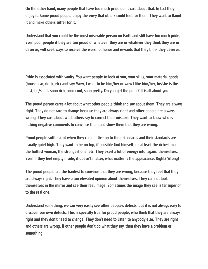**On the other hand, many people that have too much pride don't care about that. In fact they** enjoy it. Some proud people enjoy the envy that others could feel for them. They want to flaunt **it and make others suffer for it.**

**Understand that you could be the most miserable person on Earth and still have too much pride. Even poor people if they are too proud of whatever they are or whatever they think they are or deserve, will seek ways to receive the worship, honor and rewards that they think they deserve.**

**Pride is associated with vanity. You want people to look at you, your skills, your material goods (house, car, cloth, etc) and say: Wow, I want to be him/her or wow I like him/her, he/she is the best, he/she is sooo rich, sooo cool, sooo pretty. Do you get the point? It is all about you.**

**The proud person cares a lot about what other people think and say about them. They are always right. They do not care to change because they are always right and other people are always wrong. They care about what others say to correct their mistake. They want to know who is making negative comments to convince them and show them that they are wrong.**

**Proud people suffer a lot when they can not live up to their standards and their standards are usually quiet high. They want to be on top, if possible God himself; or at least the richest man, the hottest woman, the strongest one, etc. They exert a lot of energy into, again: themselves. Even if they feel empty inside, it doesn't matter, what matter is the appearance. Right? Wrong!**

**The proud people are the hardest to convince that they are wrong, because they feel that they are always right. They have a too elevated opinion about themselves. They can not look themselves in the mirror and see their real image. Sometimes the image they see is far superior to the real one.**

**Understand something, we can very easily see other people's defects, but it is not always easy to discover our own defects. This is specially true for proud people, who think that they are always right and they don't need to change. They don't need to listen to anybody else. They are right and others are wrong. If other people don't do what they say, then they have a problem or something.**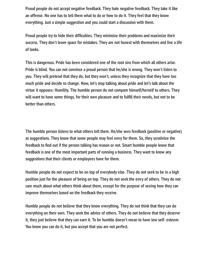**Proud people do not accept negative feedback. They hate negative feedback. They take it like an offense. No one has to tell them what to do or how to do it. They feel that they know everything. Just a simple suggestion and you could start a discussion with them.**

Proud people try to hide their difficulties. They minimize their problems and maximize their **success. They don't leave space for mistakes. They are not honest with themselves and live a life of looks.**

**This is dangerous. Pride has been considered one of the root sins from which all others arise. Pride is blind. You can not convince a proud person that he/she is wrong. They won't listen to you. They will pretend that they do, but they won't, unless they recognize that they have too much pride and decide to change. Now, let's stop talking about pride and let's talk about the virtue it opposes: Humility. The humble person do not compare himself/herself to others. They** will want to have some things, for their own pleasure and to fulfill their needs, but not to be **better than others.**

**The humble person listens to what others tell them. He/she sees feedback (positive or negative) as suggestions. They know that some people may feel envy for them. So, they scrutinize the** feedback to find out if the person talking has reason or not. Smart humble people know that **feedback is one of the most important parts of running a business. They want to know any suggestions that their clients or employees have for them.**

**Humble people do not expect to be on top of everybody else. They do not seek to be in a high position just for the pleasure of being on top. They do not seek the envy of others. They do not care much about what others think about them, except for the purpose of seeing how they can improve themselves based on the feedback they receive.**

**Humble people do not believe that they know everything. They do not think that they can do everything on their own. They seek the advice of others. They do not believe that they deserve it, they just believe that they can earn it. To be humble doesn't mean to have low self- esteem. You know you can do it, but you accept that you are not perfect.**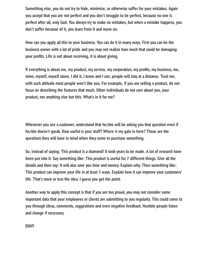**Something else, you do not try to hide, minimize, or otherwise suffer for your mistakes. Again you accept that you are not perfect and you don't struggle to be perfect, because no one is perfect after all, only God. You always try to make no mistakes, but when a mistake happens, you don't suffer because of it, you learn from it and move on.**

**How can you apply all this to your business. You can do it in many ways. First you can be the business owner with a lot of pride and you may not realize how much that could be damaging your prots. Life is not about receiving, it is about giving.**

If everything is about me, my product, my service, my corporation, my profits, my business, me, **mine, myself, myself alone, I did it, I know and I can; people will stay at a distance. Trust me, with such attitude most people won't like you. For example, if you are selling a product, do not focus on describing the features that much. Other individuals do not care about you, your product, nor anything else but this: What's in it for me?**

**Whenever you see a customer, understand that he/she will be asking you that question even if he/she doesn't speak. How useful is your stuff? Where is my gain in here? Those are the questions they will have in mind when they come to purchase something.**

**So, instead of saying: This product is a diamond! It took years to be made. A lot of research have been put into it. Say something like: This product is useful for 7 different things. Give all the details and then say: It will also save you time and money. Explain why. Then something like: This product can improve your life in at least 5 ways. Explain how it can improve your customers' life. That's more or less the idea. I guess you get the point.**

**Another way to apply this concept is that if you are too proud, you may not consider some important data that your employees or clients are submitting to you regularly. This could come to you through ideas, comments, suggestions and even negative feedback. Humble people listen and change if necessary.**

**ENVY**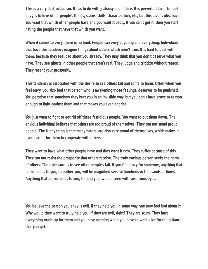**This is a very destructive sin. It has to do with jealousy and malice. It is perverted love. To feel envy is to love other people's things, status, skills, character, luck, etc; but this love is obsessive. You want that which other people have and you want it badly. If you can't get it, then you start hating the people that have that which you want.**

**When it comes to envy, there is no limit. People can envy anything and everything. Individuals that have this tendency imagine things about others which aren't true. It is hard to deal with them, because they feel bad about you already. They may think that you don't deserve what you have. They see ghosts in other people that aren't real. They judge and criticize without reason. They resent your prosperity.**

**This tendency is associated with the desire to see others fail and come to harm. Often when you feel envy, you also feel that person who is awakening those feelings, deserves to be punished. You perceive that somehow they hurt you in an invisible way, but you don't have prove or reason enough to ght against them and that makes you even angrier.**

You just want to fight or get rid off these fastidious people. You want to put them down. The **envious individual believes that others are too proud of themselves. They can not stand proud people. The funny thing is that many haters, are also very proud of themselves, which makes it even harder for them to cooperate with others.**

**They want to have what other people have and they want it now. They suffer because of this. They can not resist the prosperity that others receive. The truly envious person seeks the harm of others. Their pleasure is to see other people's fail. If you feel envy for someone, anything that person does to you, to bother you, will be magnied several hundreds or thousands of times. Anything that person does to you, to help you, will be seen with suspicious eyes.**

**You believe the person you envy is evil. If they help you in some way, you may feel bad about it. Why would they want to truly help you, if they are evil, right? They are scum. They have everything made up for them and you have nothing while you have to work a lot for the pittance that you get.**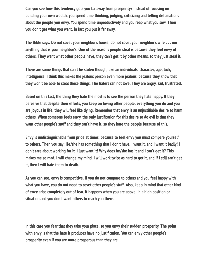**Can you see how this tendency gets you far away from prosperity? Instead of focusing on building your own wealth, you spend time thinking, judging, criticizing and telling defamations about the people you envy. You spend time unproductively and you reap what you sow. Then you don't get what you want. In fact you put it far away.**

**The Bible says: Do not covet your neighbor's house, do not covet your neighbor's wife . . . nor anything that is your neighbor's. One of the reasons people steal is because they feel envy of others. They want what other people have, they can't get it by other means, so they just steal it.**

**There are some things that can't be stolen though, like an individuals' character, age, luck, intelligence. I think this makes the jealous person even more jealous, because they know that they won't be able to steal those things. The haters can not love. They are angry, sad, frustrated.**

**Based on this fact, the thing they hate the most is to see the person they hate happy. If they perceive that despite their efforts, you keep on loving other people, everything you do and you are joyous in life, they will feel like dying. Remember that envy is an unjustiable desire to harm** others. When someone feels envy, the only justification for this desire to do evil is that they **want other people's stuff and they can't have it, so they hate the people because of this.**

**Envy is undistinguishable from pride at times, because to feel envy you must compare yourself to others. Then you say: He/she has something that I don't have. I want it, and I want it badly! I don't care about working for it. I just want it! Why does he/she has it and I can't get it? This makes me so mad. I will change my mind. I will work twice as hard to get it, and if I still can't get it, then I will hate them to death.**

**As you can see, envy is competitive. If you do not compare to others and you feel happy with what you have, you do not need to covet other people's stuff. Also, keep in mind that other kind of envy arise completely out of fear. It happens when you are above, in a high position or situation and you don't want others to reach you there.**

**In this case you fear that they take your place, so you envy their sudden prosperity. The point** with envy is that the hate it produces have no justification. You can envy other people's **prosperity even if you are more prosperous than they are.**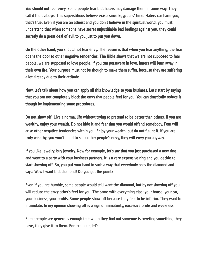**You should not fear envy. Some people fear that haters may damage them in some way. They call it the evil eye. This superstitious believe exists since Egyptians' time. Haters can harm you, that's true. Even if you are an atheist and you don't believe in the spiritual world, you must understand that when someone have secret unjustiable bad feelings against you, they could secretly do a great deal of evil to you just to put you down.**

**On the other hand, you should not fear envy. The reason is that when you fear anything, the fear opens the door to other negative tendencies. The Bible shows that we are not supposed to fear people, we are supposed to love people. If you can persevere in love, haters will burn away in** their own fire. Your purpose must not be though to make them suffer, because they are suffering **a lot already due to their attitude.**

**Now, let's talk about how you can apply all this knowledge to your business. Let's start by saying that you can not completely block the envy that people feel for you. You can drastically reduce it though by implementing some procedures.**

**Do not show off! Live a normal life without trying to pretend to be better than others. If you are wealthy, enjoy your wealth. Do not hide it and fear that you would offend somebody. Fear will** arise other negative tendencies within you. Enjoy your wealth, but do not flaunt it. If you are **truly wealthy, you won't need to seek other people's envy, they will envy you anyway.**

**If you like jewelry, buy jewelry. Now for example, let's say that you just purchased a new ring and went to a party with your business partners. It is a very expensive ring and you decide to start showing off. So, you put your hand in such a way that everybody sees the diamond and says: Wow I want that diamond! Do you get the point?**

**Even if you are humble, some people would still want the diamond, but by not showing off you will reduce the envy other's feel for you. The same with everything else: your house, your car, your business, your prots. Some people show off because they fear to be inferior. They want to intimidate. In my opinion showing off is a sign of immaturity, excessive pride and weakness.**

Some people are generous enough that when they find out someone is coveting something they **have, they give it to them. For example, let's**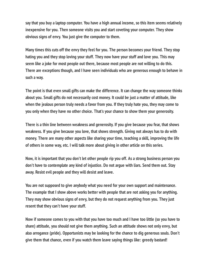**say that you buy a laptop computer. You have a high annual income, so this item seems relatively inexpensive for you. Then someone visits you and start coveting your computer. They show obvious signs of envy. You just give the computer to them.**

**Many times this cuts off the envy they feel for you. The person becomes your friend. They stop hating you and they stop loving your stuff. They now have your stuff and love you. This may seem like a joke for most people out there, because most people are not willing to do this. There are exceptions though, and I have seen individuals who are generous enough to behave in such a way.**

**The point is that even small gifts can make the difference. It can change the way someone thinks about you. Small gifts do not necessarily cost money. It could be just a matter of attitude, like when the jealous person truly needs a favor from you. If they truly hate you, they may come to you only when they have no other choice. That's your chance to show them your generosity.**

**There is a thin line between weakness and generosity. If you give because you fear, that shows weakness. If you give because you love, that shows strength. Giving not always has to do with money. There are many other aspects like sharing your time, teaching a skill, improving the life of others in some way, etc. I will talk more about giving in other article on this series.**

**Now, it is important that you don't let other people rip you off. As a strong business person you don't have to contemplate any kind of injustice. Do not argue with liars. Send them out. Stay away. Resist evil people and they will desist and leave.**

**You are not supposed to give anybody what you need for your own support and maintenance. The example that I show above works better with people that are not asking you for anything. They may show obvious signs of envy, but they do not request anything from you. They just resent that they can't have your stuff.**

**Now if someone comes to you with that you have too much and I have too little (so you have to share) attitude, you should not give them anything. Such an attitude shows not only envy, but also arrogance (pride). Opportunists may be looking for the chance to dig generous souls. Don't give them that chance, even if you watch them leave saying things like: greedy bastard!**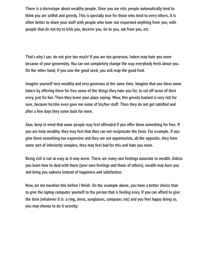**There is a stereotype about wealthy people. Once you are rich, people automatically tend to** think you are selfish and greedy. This is specially true for those who tend to envy others. It is **often better to share your stuff with people who have not requested anything from you; with people that do not try to trick you, deceive you, lie to you, ask from you, etc.**

**That's why I say: do not give too much! If you are too generous, haters may hate you more because of your generosity. You can not completely change the way everybody feels about you. On the other hand, if you sow the good seed, you will reap the good fruit.**

**Imagine yourself very wealthy and very generous at the same time. Imagine that you bless some haters by offering them for free some of the things they hate you for, to cut off some of their envy, just for fun. Then they leave your place saying: Wow, this greedy bastard is very rich for** sure, because he/she even gave me some of his/her stuff. Then they do not get satisfied and **after a few days they come back for more.**

**Also, keep in mind that some people may feel offended if you offer them something for free. If you are truly wealthy, they may feel that they can not reciprocate the favor. For example, if you give them something too expensive and they are not opportunists, all the opposite, they have some sort of inferiority complex, they may feel bad for this and hate you more.**

**Being rich is not as easy as it may seem. There are many rare feelings associate to wealth. Unless you learn how to deal with them (your own feelings and those of others), wealth may burn you and bring you sadness instead of happiness and satisfaction.**

Now, let me mention this before I finish. On the example above, you have a better choice than **to give the laptop computer yourself to the person that is feeling envy. If you can afford to give the item (whatever it is: a ring, dress, sunglasses, computer, etc) and you feel happy doing so, you may choose to do it secretly.**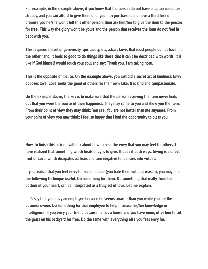**For example, in the example above, if you know that the person do not have a laptop computer already, and you can afford to give them one, you may purchase it and have a third friend promise you he/she won't tell this other person, then ask him/her to give the item to the person for free. This way the glory won't be yours and the person that receives the item do not feel in debt with you.**

**This requires a level of generosity, spirituality, etc, a.k.a.: Love, that most people do not have. In the other hand, it feels so good to do things like these that it can't be described with words. It is like if God himself would touch your soul and say: Thank you. I am taking note.**

**This is the opposite of malice. On the example above, you just did a secret act of kindness. Envy opposes love. Love seeks the good of others for their own sake. It is kind and compassionate.**

On the example above, the key is to make sure that the person receiving the item never finds **out that you were the source of their happiness. They may come to you and show you the item. From their point of view they may think: You see. You are not better than me anymore. From your point of view you may think: I feel so happy that I had the opportunity to bless you.**

Now, to finish this article I will talk about how to heal the envy that you may feel for others. I **have realized that something which heals envy is to give. It does it both ways. Giving is a direct fruit of Love, which dissipates all fears and turn negative tendencies into virtues.**

If you realize that you feel envy for some people (you hate them without reason), you may find **the following technique useful. Do something for them. Do something that really, from the bottom of your heart, can be interpreted as a truly act of love. Let me explain.**

**Let's say that you envy an employee because he seems smarter than you while you are the business owner. Do something for that employee to help increase his/her knowledge or intelligence. If you envy your friend because he has a house and you have none, offer him to cut the grass on his backyard for free. Do the same with everything else you feel envy for.**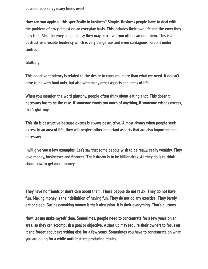### **Love defeats envy many times over!**

How can you apply all this specifically to business? Simple. Business people have to deal with **the problem of envy almost on an everyday basis. This includes their own life and the envy they may feel. Also the envy and jealousy they may perceive from others around them. This is a destructive invisible tendency which is very dangerous and even contagious. Keep it under control.**

### **Gluttony**

**This negative tendency is related to the desire to consume more than what we need. It doesn't have to do with food only, but also with many other aspects and areas of life.**

**When you mention the word gluttony, people often think about eating a lot. This doesn't necessary has to be the case. If someone wants too much of anything, if someone wishes excess, that's gluttony.**

**This sin is destructive because excess is always destructive. Almost always when people seek excess in an area of life, they will neglect other important aspects that are also important and necessary.**

**I will give you a few examples. Let's say that some people wish to be really, really wealthy. They** love money, businesses and finances. Their dream is to be billionaires. All they do is to think **about how to get more money.**

**They have no friends or don't care about them. These people do not relax. They do not have** fun. Making money is their definition of having fun. They do not do any exercise. They barely **eat or sleep. Business/making money is their obsession. It is their everything. That's gluttony.**

**Now, let me make myself clear. Sometimes, people need to concentrate for a few years on an area, so they can accomplish a goal or objective. A start up may require their owners to focus on it and forget about everything else for a few years. Sometimes you have to concentrate on what you are doing for a while until it starts producing results.**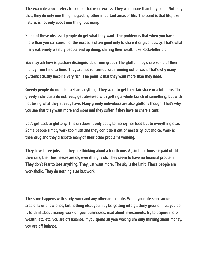**The example above refers to people that want excess. They want more than they need. Not only that, they do only one thing, neglecting other important areas of life. The point is that life, like nature, is not only about one thing, but many.**

**Some of these obsessed people do get what they want. The problem is that when you have more than you can consume, the excess is often good only to share it or give it away. That's what many extremely wealthy people end up doing, sharing their wealth like Rockefeller did.**

**You may ask how is gluttony distinguishable from greed? The glutton may share some of their money from time to time. They are not concerned with running out of cash. That's why many gluttons actually become very rich. The point is that they want more than they need.**

**Greedy people do not like to share anything. They want to get their fair share or a bit more. The greedy individuals do not really get obsessed with getting a whole bunch of something, but with not losing what they already have. Many greedy individuals are also gluttons though. That's why you see that they want more and more and they suffer if they have to share a cent.**

**Let's get back to gluttony. This sin doesn't only apply to money nor food but to everything else. Some people simply work too much and they don't do it out of necessity, but choice. Work is their drug and they dissipate many of their other problems working.**

**They have three jobs and they are thinking about a fourth one. Again their house is paid off like** their cars, their businesses are ok, everything is ok. They seem to have no financial problem. **They don't fear to lose anything. They just want more. The sky is the limit. These people are workaholic. They do nothing else but work.**

**The same happens with study, work and any other area of life. When your life spins around one area only or a few ones, but nothing else, you may be getting into gluttony ground. If all you do is to think about money, work on your businesses, read about investments, try to acquire more wealth, etc, etc; you are off balance. If you spend all your waking life only thinking about money, you are off balance.**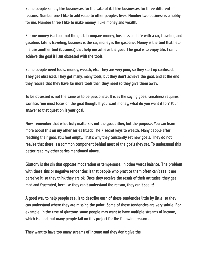**Some people simply like businesses for the sake of it. I like businesses for three different reasons. Number one I like to add value to other people's lives. Number two business is a hobby for me. Number three I like to make money. I like money and wealth.**

**For me money is a tool, not the goal. I compare money, business and life with a car, traveling and gasoline. Life is traveling, business is the car, money is the gasoline. Money is the tool that help me use another tool (business) that help me achieve the goal. The goal is to enjoy life. I can't achieve the goal if I am obsessed with the tools.**

**Some people need tools: money, wealth, etc. They are very poor, so they start up confused. They get obsessed. They get many, many tools, but they don't achieve the goal, and at the end they realize that they have far more tools than they need so they give them away.**

**To be obsessed is not the same as to be passionate. It is as the saying goes: Greatness requires** sacrifice. You must focus on the goal though. If you want money, what do you want it for? Your **answer to that question is your goal.**

**Now, remember that what truly matters is not the goal either, but the purpose. You can learn more about this on my other series titled: The 7 secret keys to wealth. Many people after reaching their goal, still feel empty. That's why they constantly set new goals. They do not realize that there is a common component behind most of the goals they set. To understand this better read my other series mentioned above.**

**Gluttony is the sin that opposes moderation or temperance. In other words balance. The problem with these sins or negative tendencies is that people who practice them often can't see it nor perceive it, so they think they are ok. Once they receive the result of their attitudes, they get mad and frustrated, because they can't understand the reason, they can't see it!**

**A good way to help people see, is to describe each of these tendencies little by little, so they can understand where they are missing the point. Some of these tendencies are very subtle. For example, in the case of gluttony, some people may want to have multiple streams of income, which is good, but many people fail on this project for the following reason . . .**

**They want to have too many streams of income and they don't give the**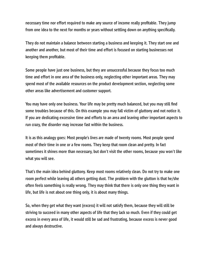necessary time nor effort required to make any source of income really profitable. They jump from one idea to the next for months or years without settling down on anything specifically.

**They do not maintain a balance between starting a business and keeping it. They start one and another and another, but most of their time and effort is focused on starting businesses not keeping them profitable.** 

**Some people have just one business, but they are unsuccessful because they focus too much time and effort in one area of the business only, neglecting other important areas. They may spend most of the available resources on the product development section, neglecting some other areas like advertisement and customer support.**

You may have only one business. Your life may be pretty much balanced, but you may still find **some troubles because of this. On this example you may fall victim of gluttony and not notice it. If you are dedicating excessive time and efforts to an area and leaving other important aspects to run crazy, the disorder may increase fast within the business.**

**It is as this analogy goes: Most people's lives are made of twenty rooms. Most people spend most of their time in one or a few rooms. They keep that room clean and pretty. In fact sometimes it shines more than necessary, but don't visit the other rooms, because you won't like what you will see.**

**That's the main idea behind gluttony. Keep most rooms relatively clean. Do not try to make one room perfect while leaving all others getting dust. The problem with the glutton is that he/she often feels something is really wrong. They may think that there is only one thing they want in life, but life is not about one thing only, it is about many things.**

**So, when they get what they want (excess) it will not satisfy them, because they will still be striving to succeed in many other aspects of life that they lack so much. Even if they could get excess in every area of life, it would still be sad and frustrating, because excess is never good and always destructive.**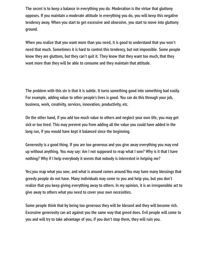**The secret is to keep a balance in everything you do. Moderation is the virtue that gluttony opposes. If you maintain a moderate attitude in everything you do, you will keep this negative tendency away. When you start to get excessive and obsessive, you start to move into gluttony ground.**

**When you realize that you want more than you need, it is good to understand that you won't need that much. Sometimes it is hard to control this tendency, but not impossible. Some people know they are gluttons, but they can't quit it. They know that they want too much, that they want more than they will be able to consume and they maintain that attitude.**

**The problem with this sin is that it is subtle. It turns something good into something bad easily. For example, adding value to other people's lives is good. You can do this through your job, business, work, creativity, services, innovation, productivity, etc.**

**On the other hand, if you add too much value to others and neglect your own life, you may get sick or too tired. This may prevent you from adding all the value you could have added in the long run, if you would have kept it balanced since the beginning.**

**Generosity is a good thing. If you are too generous and you give away everything you may end up without anything. You may say: Am I not supposed to reap what I sow? Why is it that I have nothing? Why if I help everybody it seems that nobody is interested in helping me?**

**Yes;you reap what you sow; and what is around comes around.You may have many blessings that greedy people do not have. Many individuals may come to you and help you, but you don't realize that you keep giving everything away to others. In my opinion, it is an irresponsible act to give away to others what you need to cover your own necessities.**

**Some people think that by being too generous they will be blessed and they will become rich. Excessive generosity can act against you the same way that greed does. Evil people will come to you and will try to take advantage of you, if you don't stop them, they will ruin you.**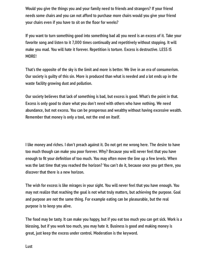**Would you give the things you and your family need to friends and strangers? If your friend needs some chairs and you can not afford to purchase more chairs would you give your friend your chairs even if you have to sit on the floor for weeks?** 

**If you want to turn something good into something bad all you need is an excess of it. Take your favorite song and listen to it 7,000 times continually and repetitively without stopping. It will make you mad. You will hate it forever. Repetition is torture. Excess is destructive. LESS IS MORE!**

**That's the opposite of the sky is the limit and more is better. We live in an era of consumerism. Our society is guilty of this sin. More is produced than what is needed and a lot ends up in the waste facility growing dust and pollution.**

**Our society believes that lack of something is bad, but excess is good. What's the point in that. Excess is only good to share what you don't need with others who have nothing. We need abundance, but not excess. You can be prosperous and wealthy without having excessive wealth. Remember that money is only a tool, not the end on itself.**

**I like money and riches. I don't preach against it. Do not get me wrong here. The desire to have too much though can make you poor forever. Why? Because you will never feel that you have** enough to fit your definition of too much. You may often move the line up a few levels. When **was the last time that you reached the horizon? You can't do it, because once you get there, you discover that there is a new horizon.**

**The wish for excess is like mirages in your sight. You will never feel that you have enough. You may not realize that reaching the goal is not what truly matters, but achieving the purpose. Goal and purpose are not the same thing. For example eating can be pleasurable, but the real purpose is to keep you alive.**

**The food may be tasty. It can make you happy, but if you eat too much you can get sick. Work is a blessing, but if you work too much, you may hate it. Business is good and making money is great, just keep the excess under control. Moderation is the keyword.**

**Lust**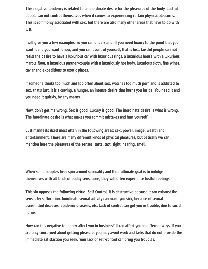**This negative tendency is related to an inordinate desire for the pleasures of the body. Lustful people can not control themselves when it comes to experiencing certain physical pleasures. This is commonly associated with sex, but there are also many other areas that have to do with lust.**

**I will give you a few examples, so you can understand. If you need luxury to the point that you want it and you want it now, and you can't control yourself, that is lust. Lustful people can not resist the desire to have a luxurious car with luxurious rings, a luxurious house with a luxurious** marble floor, a luxurious partner/couple with a luxuriously hot body, luxurious cloth, fine wines, **caviar and expeditions to exotic places.**

**If someone thinks too much and too often about sex, watches too much porn and is addicted to sex, that's lust. It is a craving, a hunger, an intense desire that burns you inside. You need it and you need it quickly, by any means.**

**Now, don't get me wrong. Sex is good. Luxury is good. The inordinate desire is what is wrong. The inordinate desire is what makes you commit mistakes and hurt yourself.**

**Lust manifests itself most often in the following areas: sex, power, image, wealth and entertainment. There are many different kinds of physical pleasures, but basically we can mention here the pleasures of the senses: taste, tact, sight, hearing, smell.**

**When some people's lives spin around sensuality and their ultimate goal is to indulge themselves with all kinds of bodily sensations, they will often experience lustful feelings.**

**This sin opposes the following virtue: Self-Control. It is destructive because it can exhaust the senses by suffocation. Inordinate sexual activity can make you sick, because of sexual transmitted diseases, epidemic diseases, etc. Lack of control can get you in trouble, due to social norms.**

**How can this negative tendency affect you in business? It can affect you in different ways. If you are only concerned about getting pleasure, you may avoid work and tasks that do not provide the immediate satisfaction you seek. Your lack of self-control can bring you troubles.**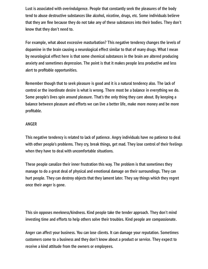**Lust is associated with overindulgence. People that constantly seek the pleasures of the body tend to abuse destructive substances like alcohol, nicotine, drugs, etc. Some individuals believe** that they are fine because they do not take any of these substances into their bodies. They don't **know that they don't need to.**

**For example, what about excessive masturbation? This negative tendency changes the levels of dopamine in the brain causing a neurological effect similar to that of many drugs. What I mean by neurological effect here is that some chemical substances in the brain are altered producing anxiety and sometimes depression. The point is that it makes people less productive and less alert to profitable opportunities.** 

**Remember though that to seek pleasure is good and it is a natural tendency also. The lack of control or the inordinate desire is what is wrong. There most be a balance in everything we do. Some people's lives spin around pleasure. That's the only thing they care about. By keeping a balance between pleasure and efforts we can live a better life, make more money and be more** profitable.

# **ANGER**

**This negative tendency is related to lack of patience. Angry individuals have no patience to deal with other people's problems. They cry, break things, get mad. They lose control of their feelings when they have to deal with uncomfortable situations.**

**These people canalize their inner frustration this way. The problem is that sometimes they manage to do a great deal of physical and emotional damage on their surroundings. They can hurt people. They can destroy objects that they lament later. They say things which they regret once their anger is gone.**

**This sin opposes meekness/kindness. Kind people take the tender approach. They don't mind investing time and efforts to help others solve their troubles. Kind people are compassionate.**

**Anger can affect your business. You can lose clients. It can damage your reputation. Sometimes customers come to a business and they don't know about a product or service. They expect to receive a kind attitude from the owners or employees.**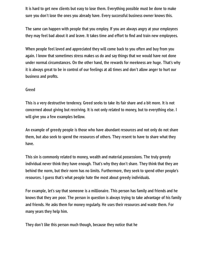**It is hard to get new clients but easy to lose them. Everything possible must be done to make sure you don't lose the ones you already have. Every successful business owner knows this.**

**The same can happen with people that you employ. If you are always angry at your employees** they may feel bad about it and leave. It takes time and effort to find and train new employees.

**When people feel loved and appreciated they will come back to you often and buy from you again. I know that sometimes stress makes us do and say things that we would have not done under normal circumstances. On the other hand, the rewards for meekness are huge. That's why it is always great to be in control of our feelings at all times and don't allow anger to hurt our** business and profits.

## **Greed**

**This is a very destructive tendency. Greed seeks to take its fair share and a bit more. It is not concerned about giving but receiving. It is not only related to money, but to everything else. I will give you a few examples bellow.**

**An example of greedy people is those who have abundant resources and not only do not share them, but also seek to spend the resources of others. They resent to have to share what they have.**

**This sin is commonly related to money, wealth and material possessions. The truly greedy individual never think they have enough. That's why they don't share. They think that they are behind the norm, but their norm has no limits. Furthermore, they seek to spend other people's resources. I guess that's what people hate the most about greedy individuals.**

**For example, let's say that someone is a millionaire. This person has family and friends and he knows that they are poor. The person in question is always trying to take advantage of his family and friends. He asks them for money regularly. He uses their resources and waste them. For many years they help him.**

**They don't like this person much though, because they notice that he**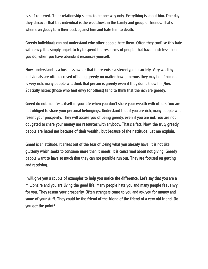**is self centered. Their relationship seems to be one way only. Everything is about him. One day they discover that this individual is the wealthiest in the family and group of friends. That's when everybody turn their back against him and hate him to death.**

**Greedy individuals can not understand why other people hate them. Often they confuse this hate with envy. It is simply unjust to try to spend the resources of people that have much less than you do, when you have abundant resources yourself.**

**Now, understand as a business owner that there exists a stereotype in society. Very wealthy individuals are often accused of being greedy no matter how generous they may be. If someone is very rich, many people will think that person is greedy even if they don't know him/her. Specially haters (those who feel envy for others) tend to think that the rich are greedy.**

**Greed do not manifests itself in your life when you don't share your wealth with others. You are not obliged to share your personal belongings. Understand that if you are rich, many people will resent your prosperity. They will accuse you of being greedy, even if you are not. You are not obligated to share your money nor resources with anybody. That's a fact. Now, the truly greedy people are hated not because of their wealth , but because of their attitude. Let me explain.**

**Greed is an attitude. It arises out of the fear of losing what you already have. It is not like gluttony which seeks to consume more than it needs. It is concerned about not giving. Greedy people want to have so much that they can not possible run out. They are focused on getting and receiving.**

**I will give you a couple of examples to help you notice the difference. Let's say that you are a millionaire and you are living the good life. Many people hate you and many people feel envy for you. They resent your prosperity. Often strangers come to you and ask you for money and some of your stuff. They could be the friend of the friend of the friend of a very old friend. Do you get the point?**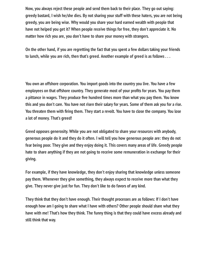**Now, you always reject these people and send them back to their place. They go out saying: greedy bastard, I wish he/she dies. By not sharing your stuff with these haters, you are not being greedy, you are being wise. Why would you share your hard earned wealth with people that have not helped you get it? When people receive things for free, they don't appreciate it. No matter how rich you are, you don't have to share your money with strangers.**

**On the other hand, if you are regretting the fact that you spent a few dollars taking your friends to lunch, while you are rich, then that's greed. Another example of greed is as follows . . .**

**You own an offshore corporation. You import goods into the country you live. You have a few** employees on that offshore country. They generate most of your profits for years. You pay them a pittance in wages. They produce five hundred times more than what you pay them. You know **this and you don't care. You have not risen their salary for years. Some of them ask you for a rise.** You threaten them with firing them. They start a revolt. You have to close the company. You lose **a lot of money. That's greed!**

**Greed opposes generosity. While you are not obligated to share your resources with anybody, generous people do it and they do it often. I will tell you how generous people are: they do not fear being poor. They give and they enjoy doing it. This covers many areas of life. Greedy people hate to share anything if they are not going to receive some remuneration in exchange for their giving.**

**For example, if they have knowledge, they don't enjoy sharing that knowledge unless someone pay them. Whenever they give something, they always expect to receive more than what they give. They never give just for fun. They don't like to do favors of any kind.**

**They think that they don't have enough. Their thought processes are as follows: If I don't have enough how am I going to share what I have with others? Other people should share what they have with me! That's how they think. The funny thing is that they could have excess already and still think that way.**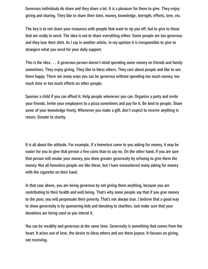**Generous individuals do share and they share a lot. It is a pleasure for them to give. They enjoy giving and sharing. They like to share their time, money, knowledge, strength, efforts, love, etc.**

**The key is to not share your resources with people that want to rip you off, but to give to those that are really in need. The idea is not to share everything either. Some people are too generous and they lose their shirt. As I say in another article, in my opinion it is irresponsible to give to strangers what you need for your daily support.**

**This is the idea . . . A generous person doesn't mind spending some money on friends and family sometimes. They enjoy giving. They like to bless others. They care about people and like to see them happy. There are many ways you can be generous without spending too much money, too much time or too much efforts on other people.**

**Sponsor a child if you can afford it. Help people whenever you can. Organize a party and invite your friends. Invite your employees to a pizza sometimes and pay for it. Be kind to people. Share some of your knowledge freely. Whenever you make a gift, don't expect to receive anything in return. Donate to charity.**

**It is all about the attitude. For example, if a homeless come to you asking for money, it may be easier for you to give that person a few coins than to say no. On the other hand, if you are sure that person will smoke your money, you show greater generosity by refusing to give them the money. Not all homeless people are like these, but I have encountered many asking for money with the cigarette on their hand.**

**In that case above, you are being generous by not giving them anything, because you are contributing to their health and well being. That's why some people say that if you give money to the poor, you will perpetuate their poverty. That's not always true. I believe that a good way to show generosity is by sponsoring kids and donating to charities. Just make sure that your donations are being used as you intend it.**

**You can be wealthy and generous at the same time. Generosity is something that comes from the heart. It arises out of love, the desire to bless others and see them joyous. It focuses on giving, not receiving.**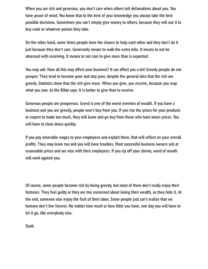**When you are rich and generous, you don't care when others tell defamations about you. You have peace of mind. You know that to the best of your knowledge you always take the best possible decisions. Sometimes you can't simply give money to others, because they will use it to buy crack or whatever poison they take.**

**On the other hand, some times people have the chance to help each other and they don't do it just because they don't care. Generosity means to walk the extra mile. It means to not be obsessed with receiving. It means to not care to give more than is expected.**

**You may ask: How all this may affect your business? It can affect you a lot! Greedy people do not prosper. They tend to become poor and stay poor, despite the general idea that the rich are greedy. Statistics show that the rich give more. When you give, you receive, because you reap what you sow. As the Bible says: It is better to give than to receive.**

**Generous people are prosperous. Greed is one of the worst enemies of wealth. If you have a business and you are greedy, people won't buy from you. If you rise the prices for your products or expect to make too much, they will leave and go buy from those who have lower prices. You will have to close doors quickly.**

If you pay miserable wages to your employees and exploit them, that will reflect on your overall profits. They may leave too and you will have troubles. Most successful business owners sell at **reasonable prices and are nice with their employees. If you rip off your clients, word of mouth will work against you.**

**Of course, some people become rich by being greedy, but most of them don't really enjoy their fortunes. They feel guilty or they are too concerned about losing their wealth, so they hide it. At the end, someone else enjoy the fruit of their labor. Some people just can't realize that we humans don't live forever. No matter how much or how little you have, one day you will have to let it go, like everybody else.**

**Sloth**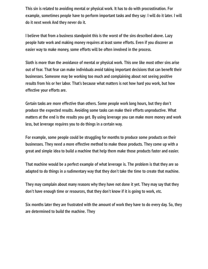**This sin is related to avoiding mental or physical work. It has to do with procrastination. For example, sometimes people have to perform important tasks and they say: I will do it later. I will do it next week And they never do it.**

**I believe that from a business standpoint this is the worst of the sins described above. Lazy people hate work and making money requires at least some efforts. Even if you discover an easier way to make money, some efforts will be often involved in the process.**

**Sloth is more than the avoidance of mental or physical work. This one like most other sins arise** out of fear. That fear can make individuals avoid taking important decisions that can benefit their **businesses. Someone may be working too much and complaining about not seeing positive results from his or her labor. That's because what matters is not how hard you work, but how effective your efforts are.**

**Certain tasks are more effective than others. Some people work long hours, but they don't produce the expected results. Avoiding some tasks can make their efforts unproductive. What matters at the end is the results you get. By using leverage you can make more money and work less, but leverage requires you to do things in a certain way.**

**For example, some people could be struggling for months to produce some products on their businesses. They need a more effective method to make those products. They come up with a great and simple idea to build a machine that help them make those products faster and easier.**

**That machine would be a perfect example of what leverage is. The problem is that they are so adapted to do things in a rudimentary way that they don't take the time to create that machine.**

**They may complain about many reasons why they have not done it yet. They may say that they don't have enough time or resources, that they don't know if it is going to work, etc.**

**Six months later they are frustrated with the amount of work they have to do every day. So, they are determined to build the machine. They**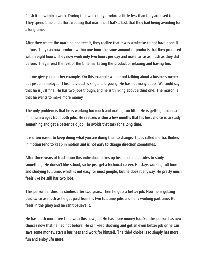**nish it up within a week. During that week they produce a little less than they are used to. They spend time and effort creating that machine. That's a task that they had being avoiding for a long time.**

**After they create the machine and test it, they realize that it was a mistake to not have done it before. They can now produce within one hour the same amount of products that they produced within eight hours. They now work only two hours per day and make twice as much as they did before. They invest the rest of the time marketing the product or relaxing and having fun.**

**Let me give you another example. On this example we are not talking about a business owner but just an employee. This individual is single and young. He has not many debts. We could say** that he is just fine. He has two jobs though, and he is thinking about a third one. The reason is **that he wants to make more money.**

**The only problem is that he is working too much and making too little. He is getting paid near minimum wages from both jobs. He realizes within a few months that his best choice is to study something and get a better paid job. He avoids that task for a long time.**

**It is often easier to keep doing what you are doing than to change. That's called inertia. Bodies in motion tend to keep in motion and is not easy to change direction sometimes.**

**After three years of frustration this individual makes up his mind and decides to study something. He doesn't like school, so he just get a technical career. He stays working full time and studying full time, which is not easy for most people, but he does it anyway. He pretty much feels like he still has two jobs.**

This person finishes his studies after two years. Then he gets a better job. Now he is getting **paid twice as much as he got paid from his two full time jobs and he is working part time. He feels in the glory and he can't believe it.**

**He has much more free time with this new job. He has more money too. So, this person has new choices now that he had not before. He can keep studying and get an even better job or he can save some money, start a business and work for himself. The third choice is to simply has more fun and enjoy life more.**